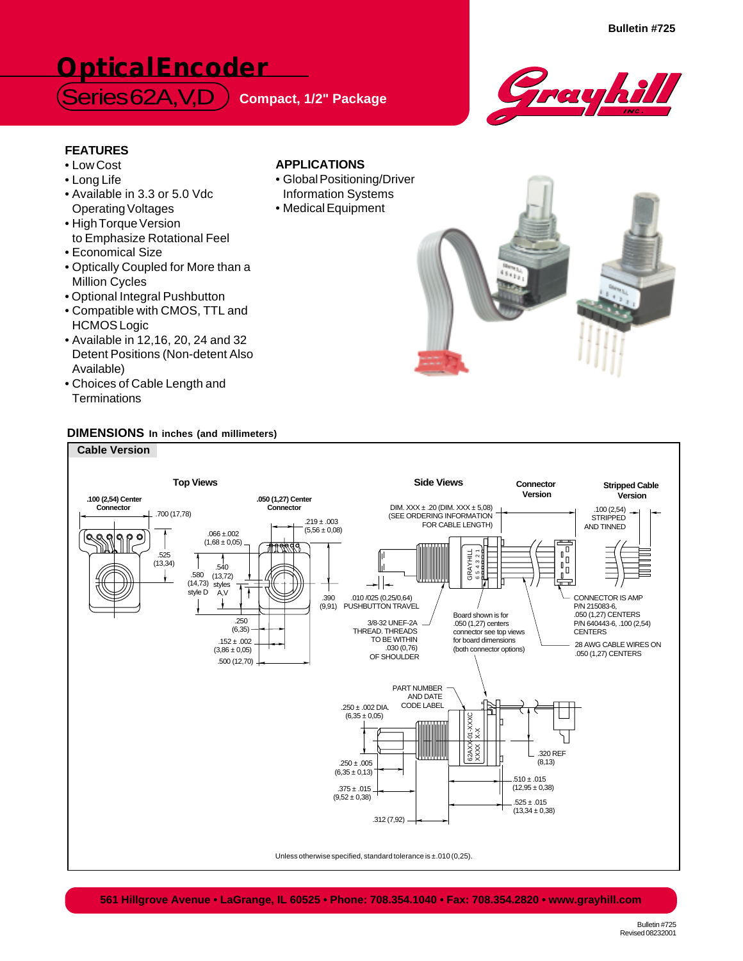# **Optical Encoder**

 $S$ eries 62A, V, D Compact, 1/2" Package



**Bulletin #725**

## **FEATURES**

- Low Cost
- Long Life
- Available in 3.3 or 5.0 Vdc Operating Voltages
- High Torque Version to Emphasize Rotational Feel
- Economical Size
- Optically Coupled for More than a Million Cycles
- Optional Integral Pushbutton
- Compatible with CMOS, TTL and HCMOS Logic
- Available in 12,16, 20, 24 and 32 Detent Positions (Non-detent Also Available)
- Choices of Cable Length and **Terminations**

## **DIMENSIONS In inches (and millimeters)**



## **APPLICATIONS**

- Global Positioning/Driver Information Systems
- Medical Equipment

**561 Hillgrove Avenue • LaGrange, IL 60525 • Phone: 708.354.1040 • Fax: 708.354.2820 • www.grayhill.com**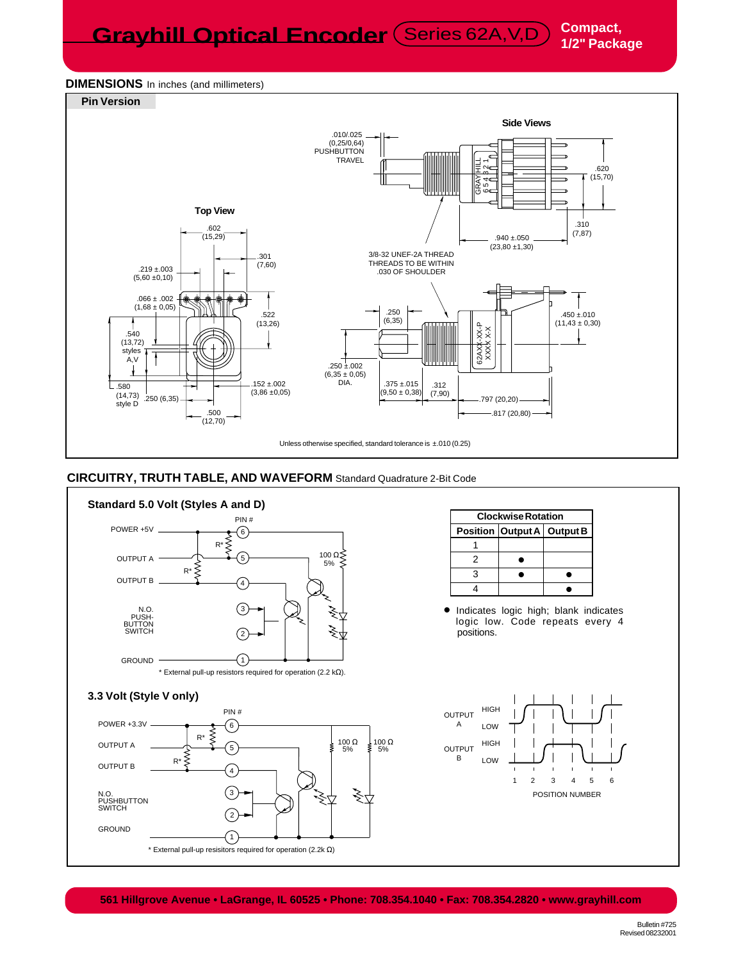**Grayhill Optical Encoder** (Series 62A, V,D) Compact,

## **DIMENSIONS** In inches (and millimeters)



## **CIRCUITRY, TRUTH TABLE, AND WAVEFORM** Standard Quadrature 2-Bit Code



**561 Hillgrove Avenue • LaGrange, IL 60525 • Phone: 708.354.1040 • Fax: 708.354.2820 • www.grayhill.com**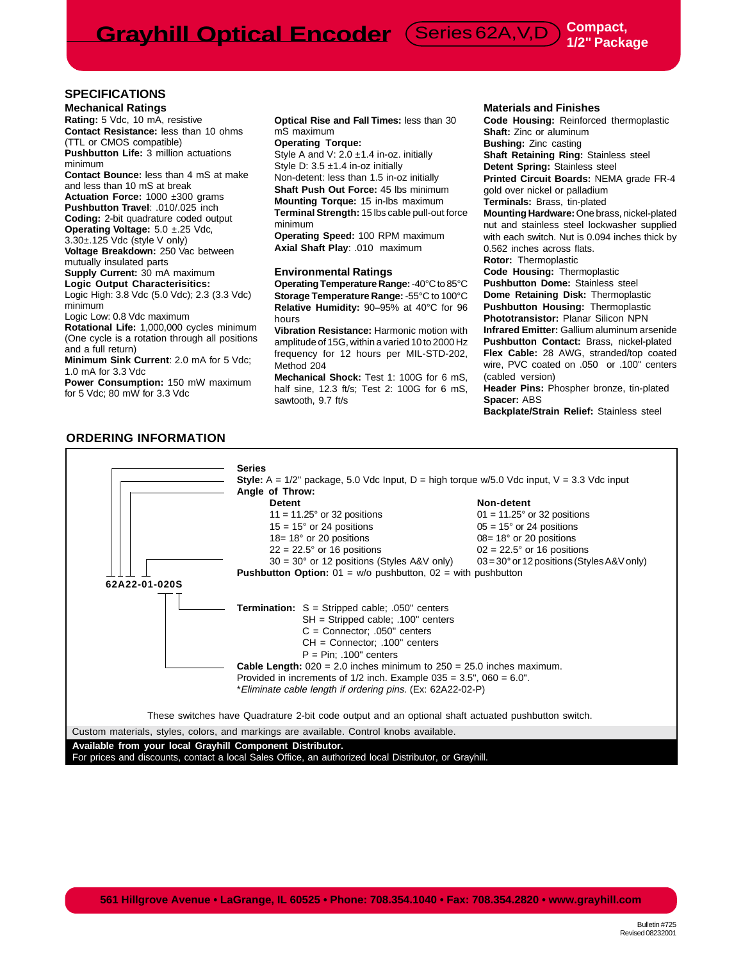**SPECIFICATIONS**

**Mechanical Ratings Rating:** 5 Vdc, 10 mA, resistive **Contact Resistance:** less than 10 ohms (TTL or CMOS compatible) **Pushbutton Life:** 3 million actuations

minimum **Contact Bounce:** less than 4 mS at make and less than 10 mS at break

**Actuation Force:** 1000 ±300 grams **Pushbutton Travel**: .010/.025 inch **Coding:** 2-bit quadrature coded output **Operating Voltage:** 5.0 ±.25 Vdc, 3.30±.125 Vdc (style V only)

**Voltage Breakdown:** 250 Vac between mutually insulated parts

**Supply Current:** 30 mA maximum **Logic Output Characterisitics:**

Logic High: 3.8 Vdc (5.0 Vdc); 2.3 (3.3 Vdc) minimum

Logic Low: 0.8 Vdc maximum

**Rotational Life:** 1,000,000 cycles minimum (One cycle is a rotation through all positions and a full return)

**Minimum Sink Current**: 2.0 mA for 5 Vdc; 1.0 mA for 3.3 Vdc

**Power Consumption:** 150 mW maximum for 5 Vdc; 80 mW for 3.3 Vdc

**Optical Rise and Fall Times:** less than 30 mS maximum

**Operating Torque:** Style A and V: 2.0 ±1.4 in-oz. initially Style D: 3.5 ±1.4 in-oz initially Non-detent: less than 1.5 in-oz initially **Shaft Push Out Force:** 45 lbs minimum

**Mounting Torque:** 15 in-lbs maximum **Terminal Strength:** 15 lbs cable pull-out force minimum

**Operating Speed:** 100 RPM maximum **Axial Shaft Play**: .010 maximum

#### **Environmental Ratings**

**Operating Temperature Range:** -40°C to 85°C **Storage Temperature Range:** -55°C to 100°C **Relative Humidity:** 90–95% at 40°C for 96 hours

**Vibration Resistance:** Harmonic motion with amplitude of 15G, within a varied 10 to 2000 Hz frequency for 12 hours per MIL-STD-202, Method 204

**Mechanical Shock:** Test 1: 100G for 6 mS, half sine, 12.3 ft/s; Test 2: 100G for 6 mS, sawtooth, 9.7 ft/s

#### **Materials and Finishes**

**Code Housing:** Reinforced thermoplastic **Shaft: Zinc or aluminum Bushing:** Zinc casting **Shaft Retaining Ring:** Stainless steel **Detent Spring:** Stainless steel **Printed Circuit Boards:** NEMA grade FR-4 gold over nickel or palladium **Terminals:** Brass, tin-plated **Mounting Hardware:** One brass, nickel-plated nut and stainless steel lockwasher supplied with each switch. Nut is 0.094 inches thick by 0.562 inches across flats. **Rotor:** Thermoplastic **Code Housing:** Thermoplastic **Pushbutton Dome:** Stainless steel **Dome Retaining Disk:** Thermoplastic **Pushbutton Housing:** Thermoplastic **Phototransistor:** Planar Silicon NPN **Infrared Emitter:** Gallium aluminum arsenide **Pushbutton Contact:** Brass, nickel-plated **Flex Cable:** 28 AWG, stranded/top coated wire, PVC coated on .050 or .100" centers (cabled version) **Header Pins:** Phospher bronze, tin-plated

**Spacer:** ABS

**Backplate/Strain Relief:** Stainless steel

#### **ORDERING INFORMATION**

### **Series Style:**  $A = \frac{1}{2^n}$  package, 5.0 Vdc Input,  $D =$  high torque w/5.0 Vdc input,  $V = 3.3$  Vdc input **Angle of Throw: Detent** Non-detent  $11 = 11.25^\circ$  or 32 positions  $15 = 15^\circ$  or 24 positions  $0.5 = 15^\circ$  or 24 positions  $15 = 15^\circ$  or 24 positions  $18 = 18^\circ$  or 20 positions 08=  $18^\circ$  or 20 positions  $22 = 22.5^\circ$  or 16 positions 02 =  $22.5^\circ$  or 16 positions  $30 = 30^\circ$  or 12 positions (Styles A&V only)  $03 = 30^\circ$  or 12 positions (Styles A&V only) **Pushbutton Option:** 01 = w/o pushbutton, 02 = with pushbutton **62A22-01-020S Termination:** S = Stripped cable; .050" centers SH = Stripped cable; .100" centers C = Connector; .050" centers CH = Connector; .100" centers  $P = Pin; .100" centers$ **Cable Length:** 020 = 2.0 inches minimum to 250 = 25.0 inches maximum. Provided in increments of  $1/2$  inch. Example  $035 = 3.5$ ",  $060 = 6.0$ ". \*Eliminate cable length if ordering pins. (Ex: 62A22-02-P) These switches have Quadrature 2-bit code output and an optional shaft actuated pushbutton switch. **Available from your local Grayhill Component Distributor.** Custom materials, styles, colors, and markings are available. Control knobs available.

For prices and discounts, contact a local Sales Office, an authorized local Distributor, or Grayhill.